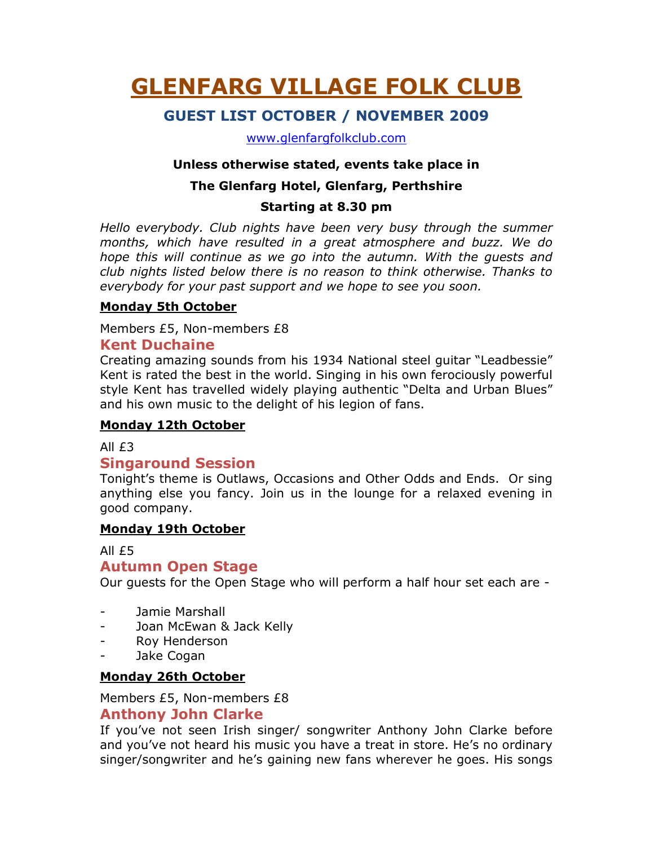# GLENFARG VILLAGE FOLK CLUB

# GUEST LIST OCTOBER / NOVEMBER 2009

www.glenfargfolkclub.com

#### Unless otherwise stated, events take place in

### The Glenfarg Hotel, Glenfarg, Perthshire

#### Starting at 8.30 pm

Hello everybody. Club nights have been very busy through the summer months, which have resulted in a great atmosphere and buzz. We do hope this will continue as we go into the autumn. With the guests and club nights listed below there is no reason to think otherwise. Thanks to everybody for your past support and we hope to see you soon.

#### Monday 5th October

Members £5, Non-members £8

#### Kent Duchaine

Creating amazing sounds from his 1934 National steel guitar "Leadbessie" Kent is rated the best in the world. Singing in his own ferociously powerful style Kent has travelled widely playing authentic "Delta and Urban Blues" and his own music to the delight of his legion of fans.

#### Monday 12th October

#### All £3

## Singaround Session

Tonight's theme is Outlaws, Occasions and Other Odds and Ends. Or sing anything else you fancy. Join us in the lounge for a relaxed evening in good company.

#### Monday 19th October

#### All £5

#### Autumn Open Stage

Our guests for the Open Stage who will perform a half hour set each are -

- Jamie Marshall
- Joan McEwan & Jack Kelly
- Roy Henderson
- Jake Cogan

#### Monday 26th October

Members £5, Non-members £8 Anthony John Clarke

If you've not seen Irish singer/ songwriter Anthony John Clarke before and you've not heard his music you have a treat in store. He's no ordinary singer/songwriter and he's gaining new fans wherever he goes. His songs